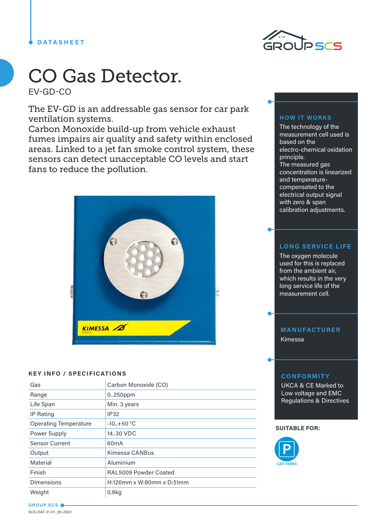## **DATASHEET**



# CO Gas Detector.

EV-GD-CO

The EV-GD is an addressable gas sensor for car park ventilation systems.

Carbon Monoxide build-up from vehicle exhaust fumes impairs air quality and safety within enclosed areas. Linked to a jet fan smoke control system, these sensors can detect unacceptable CO levels and start fans to reduce the pollution.



### **KEY INFO / SPECIFICATIONS**

| Gas                          | Carbon Monoxide (CO)      |
|------------------------------|---------------------------|
| Range                        | 0.250ppm                  |
| Life Span                    | Min. 3 years              |
| <b>IP Rating</b>             | <b>IP32</b>               |
| <b>Operating Temperature</b> | $-10.+50 °C$              |
| Power Supply                 | 14,30 VDC                 |
| <b>Sensor Current</b>        | 60 <sub>m</sub> A         |
| Output                       | Kimessa CANBus            |
| Material                     | Aluminium                 |
| Finish                       | RAL5009 Powder Coated     |
| Dimensions                   | H:120mm x W:80mm x D:51mm |
| Weight                       | 0.6kg                     |

#### **HOW IT WORKS**

The technology of the measurement cell used is based on the electro-chemical oxidation principle. The measured gas concentration is linearized and temperaturecompensated to the electrical output signal with zero & span calibration adjustments.

## **LONG SERVICE LIFE**

The oxygen molecule used for this is replaced from the ambient air, which results in the very long service life of the measurement cell.

# **MANUFACTURER**

Kimessa

### **CONFORMITY**

UKCA & CE Marked to Low voltage and EMC Regulations & Directives

#### **SUITABLE FOR:**